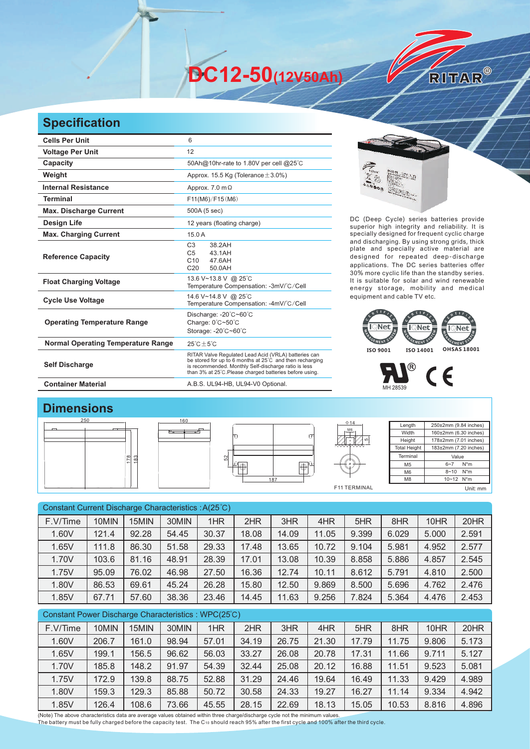**DC12-50(12V50Ah)** 

## **Specification**

| <b>Cells Per Unit</b>                     | 6                                                                                                                                                                                                                                   |  |  |  |  |  |
|-------------------------------------------|-------------------------------------------------------------------------------------------------------------------------------------------------------------------------------------------------------------------------------------|--|--|--|--|--|
| <b>Voltage Per Unit</b>                   | 12                                                                                                                                                                                                                                  |  |  |  |  |  |
| Capacity                                  | 50Ah@10hr-rate to 1.80V per cell @25°C                                                                                                                                                                                              |  |  |  |  |  |
| Weight                                    | Approx. 15.5 Kg (Tolerance $\pm$ 3.0%)                                                                                                                                                                                              |  |  |  |  |  |
| <b>Internal Resistance</b>                | Approx. $7.0 \text{ m}\Omega$                                                                                                                                                                                                       |  |  |  |  |  |
| <b>Terminal</b>                           | F11(M6)/F15(M6)                                                                                                                                                                                                                     |  |  |  |  |  |
| <b>Max. Discharge Current</b>             | 500A (5 sec)                                                                                                                                                                                                                        |  |  |  |  |  |
| <b>Design Life</b>                        | 12 years (floating charge)                                                                                                                                                                                                          |  |  |  |  |  |
| <b>Max. Charging Current</b>              | 15.0A                                                                                                                                                                                                                               |  |  |  |  |  |
| <b>Reference Capacity</b>                 | C <sub>3</sub><br>38.2AH<br>C <sub>5</sub><br>43.1AH<br>C10<br>47.6AH<br>C <sub>20</sub><br>50.0AH                                                                                                                                  |  |  |  |  |  |
| <b>Float Charging Voltage</b>             | 13.6 V~13.8 V @ 25°C<br>Temperature Compensation: -3mV/°C/Cell                                                                                                                                                                      |  |  |  |  |  |
| <b>Cycle Use Voltage</b>                  | 14.6 V~14.8 V @ 25°C<br>Temperature Compensation: -4mV/°C/Cell                                                                                                                                                                      |  |  |  |  |  |
| <b>Operating Temperature Range</b>        | Discharge: $-20^{\circ}$ C $-60^{\circ}$ C<br>Charge: 0°C~50°C<br>Storage: -20°C~60°C                                                                                                                                               |  |  |  |  |  |
| <b>Normal Operating Temperature Range</b> | $25^{\circ}$ C + 5 $^{\circ}$ C                                                                                                                                                                                                     |  |  |  |  |  |
| <b>Self Discharge</b>                     | RITAR Valve Regulated Lead Acid (VRLA) batteries can<br>be stored for up to 6 months at 25°C and then recharging<br>is recommended. Monthly Self-discharge ratio is less<br>than 3% at 25°C. Please charged batteries before using. |  |  |  |  |  |
| <b>Container Material</b>                 | A.B.S. UL94-HB, UL94-V0 Optional.                                                                                                                                                                                                   |  |  |  |  |  |



RITAR®

DC (Deep Cycle) series batteries provide superior high integrity and reliability. It is specially designed for frequent cyclic charge and discharging. By using strong grids, thick plate and specially active material are designed for repeated deep-discharge applications. The DC series batteries offer 30% more cyclic life than the standby series. It is suitable for solar and wind renewable energy storage, mobility and medical equipment and cable TV etc.





## **Dimensions**



| Constant Current Discharge Characteristics : A(25°C) |       |       |       |       |       |       |       |       |       |       |       |
|------------------------------------------------------|-------|-------|-------|-------|-------|-------|-------|-------|-------|-------|-------|
| F.V/Time                                             | 10MIN | 15MIN | 30MIN | 1HR   | 2HR   | 3HR   | 4HR   | 5HR   | 8HR   | 10HR  | 20HR  |
| 1.60V                                                | 121.4 | 92.28 | 54.45 | 30.37 | 18.08 | 14.09 | 11.05 | 9.399 | 6.029 | 5.000 | 2.591 |
| 1.65V                                                | 111.8 | 86.30 | 51.58 | 29.33 | 17.48 | 13.65 | 10.72 | 9.104 | 5.981 | 4.952 | 2.577 |
| 1.70V                                                | 103.6 | 81.16 | 48.91 | 28.39 | 17.01 | 13.08 | 10.39 | 8.858 | 5.886 | 4.857 | 2.545 |
| 1.75V                                                | 95.09 | 76.02 | 46.98 | 27.50 | 16.36 | 12.74 | 10.11 | 8.612 | 5.791 | 4.810 | 2.500 |
| 1.80V                                                | 86.53 | 69.61 | 45.24 | 26.28 | 15.80 | 12.50 | 9.869 | 8.500 | 5.696 | 4.762 | 2.476 |
| 1.85V                                                | 67.71 | 57.60 | 38.36 | 23.46 | 14.45 | 11.63 | 9.256 | 7.824 | 5.364 | 4.476 | 2.453 |
| Constant Power Discharge Characteristics: WPC(25°C)  |       |       |       |       |       |       |       |       |       |       |       |
| F.V/Time                                             | 10MIN | 15MIN | 30MIN | 1HR   | 2HR   | 3HR   | 4HR   | 5HR   | 8HR   | 10HR  | 20HR  |
| 1.60V                                                | 206.7 | 161.0 | 98.94 | 57.01 | 34.19 | 26.75 | 21.30 | 17.79 | 11.75 | 9.806 | 5.173 |

1.65V | 199.1 | 156.5 | 96.62 | 56.03 | 33.27 | 26.08 | 20.78 | 17.31 | 11.66 | 9.711 | 5.127 1.70V | 185.8 | 148.2 | 91.97 | 54.39 | 32.44 | 25.08 | 20.12 | 16.88 | 11.51 | 9.523 | 5.081 1.75V | 172.9 | 139.8 | 88.75 | 52.88 | 31.29 | 24.46 | 19.64 | 16.49 | 11.33 | 9.429 | 4.989 1.80V 159.3 129.3 85.88 50.72 30.58 24.33 19.27 16.27 11.14 9.334 4.942 1.85V 126.4 108.6 73.66 45.55 28.15 22.69 18.13 15.05 10.53 8.816 4.896

(Note) The above characteristics data are average values obtained within three charge/discharge cycle not the minimum values. The battery must be fully charged before the capacity test. The C10 should reach 95% after the first cycle and 100% after the third cycle.